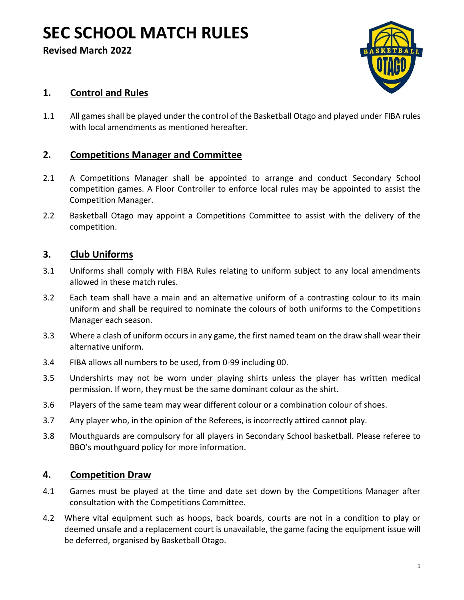# **SEC SCHOOL MATCH RULES**

**Revised March 2022**



# **1. Control and Rules**

1.1 All games shall be played under the control of the Basketball Otago and played under FIBA rules with local amendments as mentioned hereafter.

## **2. Competitions Manager and Committee**

- 2.1 A Competitions Manager shall be appointed to arrange and conduct Secondary School competition games. A Floor Controller to enforce local rules may be appointed to assist the Competition Manager.
- 2.2 Basketball Otago may appoint a Competitions Committee to assist with the delivery of the competition.

#### **3. Club Uniforms**

- 3.1 Uniforms shall comply with FIBA Rules relating to uniform subject to any local amendments allowed in these match rules.
- 3.2 Each team shall have a main and an alternative uniform of a contrasting colour to its main uniform and shall be required to nominate the colours of both uniforms to the Competitions Manager each season.
- 3.3 Where a clash of uniform occurs in any game, the first named team on the draw shall wear their alternative uniform.
- 3.4 FIBA allows all numbers to be used, from 0-99 including 00.
- 3.5 Undershirts may not be worn under playing shirts unless the player has written medical permission. If worn, they must be the same dominant colour as the shirt.
- 3.6 Players of the same team may wear different colour or a combination colour of shoes.
- 3.7 Any player who, in the opinion of the Referees, is incorrectly attired cannot play.
- 3.8 Mouthguards are compulsory for all players in Secondary School basketball. Please referee to BBO's mouthguard policy for more information.

#### **4. Competition Draw**

- 4.1 Games must be played at the time and date set down by the Competitions Manager after consultation with the Competitions Committee.
- 4.2 Where vital equipment such as hoops, back boards, courts are not in a condition to play or deemed unsafe and a replacement court is unavailable, the game facing the equipment issue will be deferred, organised by Basketball Otago.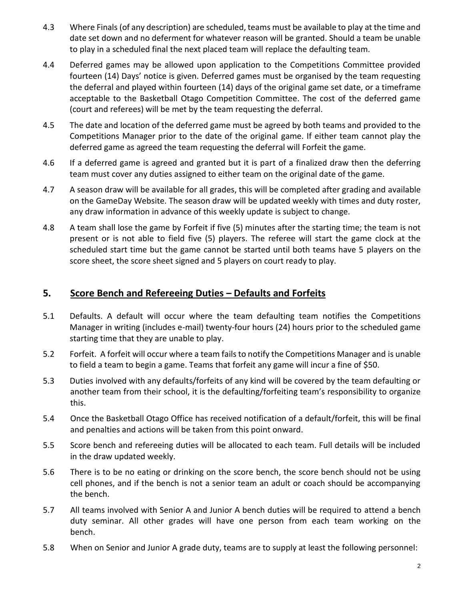- 4.3 Where Finals (of any description) are scheduled, teams must be available to play at the time and date set down and no deferment for whatever reason will be granted. Should a team be unable to play in a scheduled final the next placed team will replace the defaulting team.
- 4.4 Deferred games may be allowed upon application to the Competitions Committee provided fourteen (14) Days' notice is given. Deferred games must be organised by the team requesting the deferral and played within fourteen (14) days of the original game set date, or a timeframe acceptable to the Basketball Otago Competition Committee. The cost of the deferred game (court and referees) will be met by the team requesting the deferral.
- 4.5 The date and location of the deferred game must be agreed by both teams and provided to the Competitions Manager prior to the date of the original game. If either team cannot play the deferred game as agreed the team requesting the deferral will Forfeit the game.
- 4.6 If a deferred game is agreed and granted but it is part of a finalized draw then the deferring team must cover any duties assigned to either team on the original date of the game.
- 4.7 A season draw will be available for all grades, this will be completed after grading and available on the GameDay Website. The season draw will be updated weekly with times and duty roster, any draw information in advance of this weekly update is subject to change.
- 4.8 A team shall lose the game by Forfeit if five (5) minutes after the starting time; the team is not present or is not able to field five (5) players. The referee will start the game clock at the scheduled start time but the game cannot be started until both teams have 5 players on the score sheet, the score sheet signed and 5 players on court ready to play.

#### **5. Score Bench and Refereeing Duties – Defaults and Forfeits**

- 5.1 Defaults. A default will occur where the team defaulting team notifies the Competitions Manager in writing (includes e-mail) twenty-four hours (24) hours prior to the scheduled game starting time that they are unable to play.
- 5.2 Forfeit. A forfeit will occur where a team fails to notify the Competitions Manager and is unable to field a team to begin a game. Teams that forfeit any game will incur a fine of \$50.
- 5.3 Duties involved with any defaults/forfeits of any kind will be covered by the team defaulting or another team from their school, it is the defaulting/forfeiting team's responsibility to organize this.
- 5.4 Once the Basketball Otago Office has received notification of a default/forfeit, this will be final and penalties and actions will be taken from this point onward.
- 5.5 Score bench and refereeing duties will be allocated to each team. Full details will be included in the draw updated weekly.
- 5.6 There is to be no eating or drinking on the score bench, the score bench should not be using cell phones, and if the bench is not a senior team an adult or coach should be accompanying the bench.
- 5.7 All teams involved with Senior A and Junior A bench duties will be required to attend a bench duty seminar. All other grades will have one person from each team working on the bench.
- 5.8 When on Senior and Junior A grade duty, teams are to supply at least the following personnel: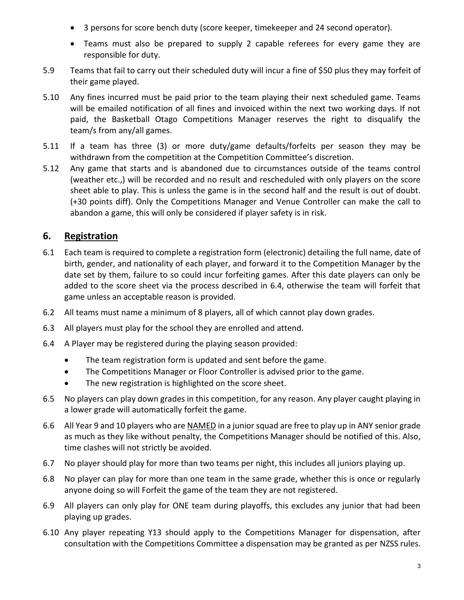- 3 persons for score bench duty (score keeper, timekeeper and 24 second operator).
- Teams must also be prepared to supply 2 capable referees for every game they are responsible for duty.
- 5.9 Teams that fail to carry out their scheduled duty will incur a fine of \$50 plus they may forfeit of their game played.
- 5.10 Any fines incurred must be paid prior to the team playing their next scheduled game. Teams will be emailed notification of all fines and invoiced within the next two working days. If not paid, the Basketball Otago Competitions Manager reserves the right to disqualify the team/s from any/all games.
- 5.11 If a team has three (3) or more duty/game defaults/forfeits per season they may be withdrawn from the competition at the Competition Committee's discretion.
- 5.12 Any game that starts and is abandoned due to circumstances outside of the teams control (weather etc.,) will be recorded and no result and rescheduled with only players on the score sheet able to play. This is unless the game is in the second half and the result is out of doubt. (+30 points diff). Only the Competitions Manager and Venue Controller can make the call to abandon a game, this will only be considered if player safety is in risk.

# **6. Registration**

- 6.1 Each team is required to complete a registration form (electronic) detailing the full name, date of birth, gender, and nationality of each player, and forward it to the Competition Manager by the date set by them, failure to so could incur forfeiting games. After this date players can only be added to the score sheet via the process described in 6.4, otherwise the team will forfeit that game unless an acceptable reason is provided.
- 6.2 All teams must name a minimum of 8 players, all of which cannot play down grades.
- 6.3 All players must play for the school they are enrolled and attend.
- 6.4 A Player may be registered during the playing season provided:
	- The team registration form is updated and sent before the game.
	- The Competitions Manager or Floor Controller is advised prior to the game.
	- The new registration is highlighted on the score sheet.
- 6.5 No players can play down grades in this competition, for any reason. Any player caught playing in a lower grade will automatically forfeit the game.
- 6.6 All Year 9 and 10 players who are NAMED in a junior squad are free to play up in ANY senior grade as much as they like without penalty, the Competitions Manager should be notified of this. Also, time clashes will not strictly be avoided.
- 6.7 No player should play for more than two teams per night, this includes all juniors playing up.
- 6.8 No player can play for more than one team in the same grade, whether this is once or regularly anyone doing so will Forfeit the game of the team they are not registered.
- 6.9 All players can only play for ONE team during playoffs, this excludes any junior that had been playing up grades.
- 6.10 Any player repeating Y13 should apply to the Competitions Manager for dispensation, after consultation with the Competitions Committee a dispensation may be granted as per NZSS rules.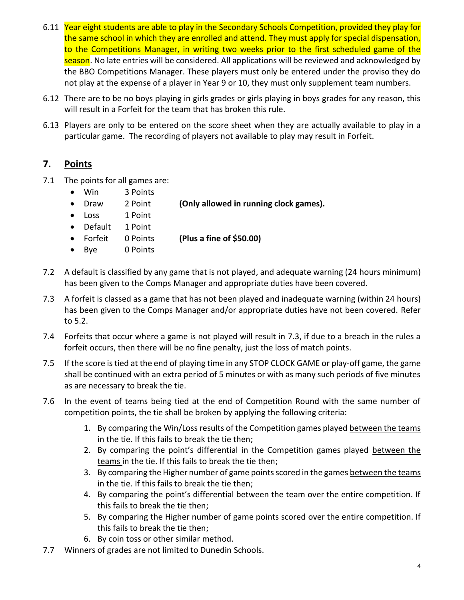- 6.11 Year eight students are able to play in the Secondary Schools Competition, provided they play for the same school in which they are enrolled and attend. They must apply for special dispensation, to the Competitions Manager, in writing two weeks prior to the first scheduled game of the season. No late entries will be considered. All applications will be reviewed and acknowledged by the BBO Competitions Manager. These players must only be entered under the proviso they do not play at the expense of a player in Year 9 or 10, they must only supplement team numbers.
- 6.12 There are to be no boys playing in girls grades or girls playing in boys grades for any reason, this will result in a Forfeit for the team that has broken this rule.
- 6.13 Players are only to be entered on the score sheet when they are actually available to play in a particular game. The recording of players not available to play may result in Forfeit.

#### **7. Points**

- 7.1 The points for all games are:
	- Win 3 Points
	- Draw 2 Point **(Only allowed in running clock games).**
	- Loss 1 Point
	- Default 1 Point
	- Forfeit 0 Points **(Plus a fine of \$50.00)**
	- Bye 0 Points
- 7.2 A default is classified by any game that is not played, and adequate warning (24 hours minimum) has been given to the Comps Manager and appropriate duties have been covered.
- 7.3 A forfeit is classed as a game that has not been played and inadequate warning (within 24 hours) has been given to the Comps Manager and/or appropriate duties have not been covered. Refer to 5.2.
- 7.4 Forfeits that occur where a game is not played will result in 7.3, if due to a breach in the rules a forfeit occurs, then there will be no fine penalty, just the loss of match points.
- 7.5 If the score is tied at the end of playing time in any STOP CLOCK GAME or play-off game, the game shall be continued with an extra period of 5 minutes or with as many such periods of five minutes as are necessary to break the tie.
- 7.6 In the event of teams being tied at the end of Competition Round with the same number of competition points, the tie shall be broken by applying the following criteria:
	- 1. By comparing the Win/Loss results of the Competition games played between the teams in the tie. If this fails to break the tie then;
	- 2. By comparing the point's differential in the Competition games played between the teams in the tie. If this fails to break the tie then;
	- 3. By comparing the Higher number of game points scored in the games between the teams in the tie. If this fails to break the tie then;
	- 4. By comparing the point's differential between the team over the entire competition. If this fails to break the tie then;
	- 5. By comparing the Higher number of game points scored over the entire competition. If this fails to break the tie then;
	- 6. By coin toss or other similar method.
- 7.7 Winners of grades are not limited to Dunedin Schools.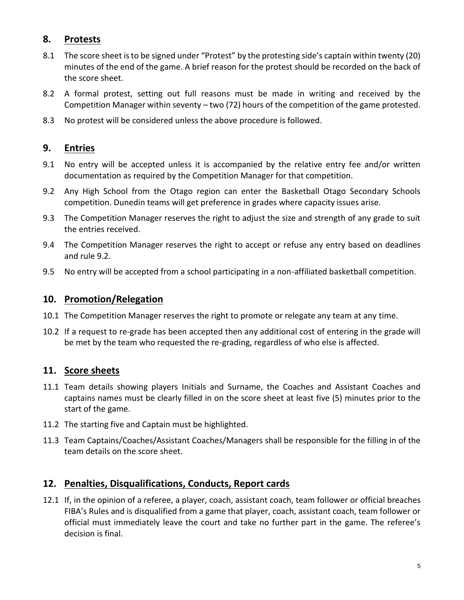# **8. Protests**

- 8.1 The score sheet is to be signed under "Protest" by the protesting side's captain within twenty (20) minutes of the end of the game. A brief reason for the protest should be recorded on the back of the score sheet.
- 8.2 A formal protest, setting out full reasons must be made in writing and received by the Competition Manager within seventy – two (72) hours of the competition of the game protested.
- 8.3 No protest will be considered unless the above procedure is followed.

#### **9. Entries**

- 9.1 No entry will be accepted unless it is accompanied by the relative entry fee and/or written documentation as required by the Competition Manager for that competition.
- 9.2 Any High School from the Otago region can enter the Basketball Otago Secondary Schools competition. Dunedin teams will get preference in grades where capacity issues arise.
- 9.3 The Competition Manager reserves the right to adjust the size and strength of any grade to suit the entries received.
- 9.4 The Competition Manager reserves the right to accept or refuse any entry based on deadlines and rule 9.2.
- 9.5 No entry will be accepted from a school participating in a non-affiliated basketball competition.

## **10. Promotion/Relegation**

- 10.1 The Competition Manager reserves the right to promote or relegate any team at any time.
- 10.2 If a request to re-grade has been accepted then any additional cost of entering in the grade will be met by the team who requested the re-grading, regardless of who else is affected.

# **11. Score sheets**

- 11.1 Team details showing players Initials and Surname, the Coaches and Assistant Coaches and captains names must be clearly filled in on the score sheet at least five (5) minutes prior to the start of the game.
- 11.2 The starting five and Captain must be highlighted.
- 11.3 Team Captains/Coaches/Assistant Coaches/Managers shall be responsible for the filling in of the team details on the score sheet.

## **12. Penalties, Disqualifications, Conducts, Report cards**

12.1 If, in the opinion of a referee, a player, coach, assistant coach, team follower or official breaches FIBA's Rules and is disqualified from a game that player, coach, assistant coach, team follower or official must immediately leave the court and take no further part in the game. The referee's decision is final.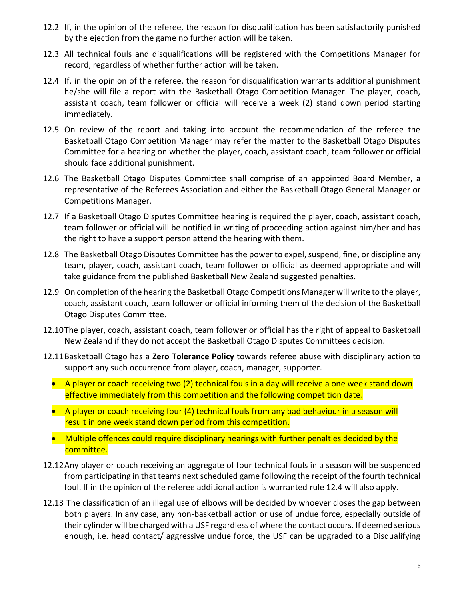- 12.2 If, in the opinion of the referee, the reason for disqualification has been satisfactorily punished by the ejection from the game no further action will be taken.
- 12.3 All technical fouls and disqualifications will be registered with the Competitions Manager for record, regardless of whether further action will be taken.
- 12.4 If, in the opinion of the referee, the reason for disqualification warrants additional punishment he/she will file a report with the Basketball Otago Competition Manager. The player, coach, assistant coach, team follower or official will receive a week (2) stand down period starting immediately.
- 12.5 On review of the report and taking into account the recommendation of the referee the Basketball Otago Competition Manager may refer the matter to the Basketball Otago Disputes Committee for a hearing on whether the player, coach, assistant coach, team follower or official should face additional punishment.
- 12.6 The Basketball Otago Disputes Committee shall comprise of an appointed Board Member, a representative of the Referees Association and either the Basketball Otago General Manager or Competitions Manager.
- 12.7 If a Basketball Otago Disputes Committee hearing is required the player, coach, assistant coach, team follower or official will be notified in writing of proceeding action against him/her and has the right to have a support person attend the hearing with them.
- 12.8 The Basketball Otago Disputes Committee has the power to expel, suspend, fine, or discipline any team, player, coach, assistant coach, team follower or official as deemed appropriate and will take guidance from the published Basketball New Zealand suggested penalties.
- 12.9 On completion of the hearing the Basketball Otago Competitions Manager will write to the player, coach, assistant coach, team follower or official informing them of the decision of the Basketball Otago Disputes Committee.
- 12.10The player, coach, assistant coach, team follower or official has the right of appeal to Basketball New Zealand if they do not accept the Basketball Otago Disputes Committees decision.
- 12.11Basketball Otago has a **Zero Tolerance Policy** towards referee abuse with disciplinary action to support any such occurrence from player, coach, manager, supporter.
	- A player or coach receiving two (2) technical fouls in a day will receive a one week stand down effective immediately from this competition and the following competition date.
	- A player or coach receiving four (4) technical fouls from any bad behaviour in a season will result in one week stand down period from this competition.
	- Multiple offences could require disciplinary hearings with further penalties decided by the committee.
- 12.12Any player or coach receiving an aggregate of four technical fouls in a season will be suspended from participating in that teams next scheduled game following the receipt of the fourth technical foul. If in the opinion of the referee additional action is warranted rule 12.4 will also apply.
- 12.13 The classification of an illegal use of elbows will be decided by whoever closes the gap between both players. In any case, any non-basketball action or use of undue force, especially outside of their cylinder will be charged with a USF regardless of where the contact occurs. If deemed serious enough, i.e. head contact/ aggressive undue force, the USF can be upgraded to a Disqualifying